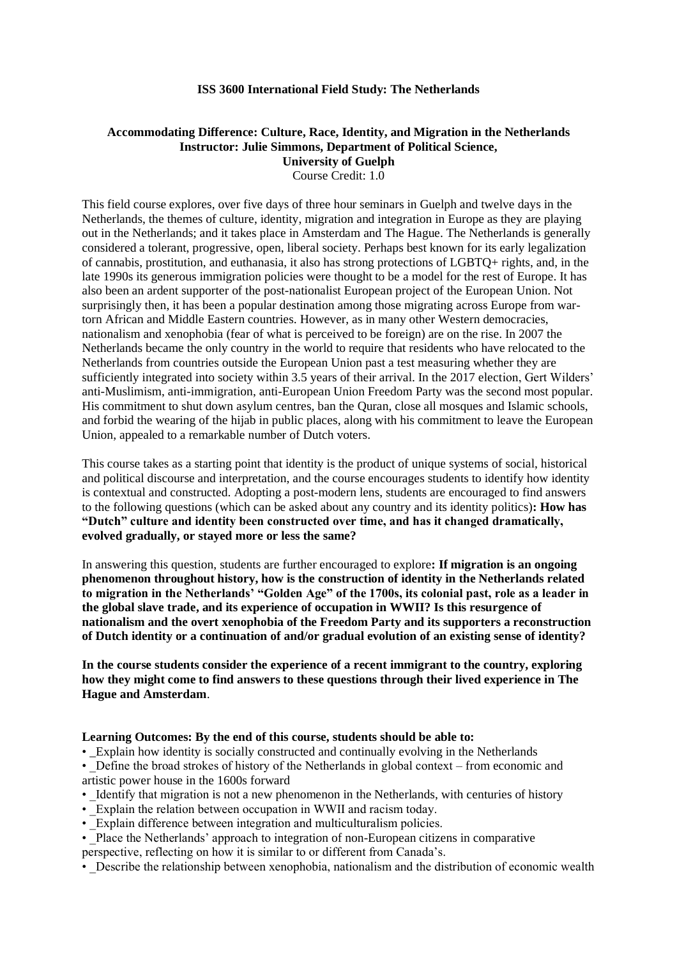#### **ISS 3600 International Field Study: The Netherlands**

# **Accommodating Difference: Culture, Race, Identity, and Migration in the Netherlands Instructor: Julie Simmons, Department of Political Science, University of Guelph**

Course Credit: 1.0

This field course explores, over five days of three hour seminars in Guelph and twelve days in the Netherlands, the themes of culture, identity, migration and integration in Europe as they are playing out in the Netherlands; and it takes place in Amsterdam and The Hague. The Netherlands is generally considered a tolerant, progressive, open, liberal society. Perhaps best known for its early legalization of cannabis, prostitution, and euthanasia, it also has strong protections of LGBTQ+ rights, and, in the late 1990s its generous immigration policies were thought to be a model for the rest of Europe. It has also been an ardent supporter of the post-nationalist European project of the European Union. Not surprisingly then, it has been a popular destination among those migrating across Europe from wartorn African and Middle Eastern countries. However, as in many other Western democracies, nationalism and xenophobia (fear of what is perceived to be foreign) are on the rise. In 2007 the Netherlands became the only country in the world to require that residents who have relocated to the Netherlands from countries outside the European Union past a test measuring whether they are sufficiently integrated into society within 3.5 years of their arrival. In the 2017 election, Gert Wilders' anti-Muslimism, anti-immigration, anti-European Union Freedom Party was the second most popular. His commitment to shut down asylum centres, ban the Quran, close all mosques and Islamic schools, and forbid the wearing of the hijab in public places, along with his commitment to leave the European Union, appealed to a remarkable number of Dutch voters.

This course takes as a starting point that identity is the product of unique systems of social, historical and political discourse and interpretation, and the course encourages students to identify how identity is contextual and constructed. Adopting a post-modern lens, students are encouraged to find answers to the following questions (which can be asked about any country and its identity politics)**: How has "Dutch" culture and identity been constructed over time, and has it changed dramatically, evolved gradually, or stayed more or less the same?** 

In answering this question, students are further encouraged to explore**: If migration is an ongoing phenomenon throughout history, how is the construction of identity in the Netherlands related to migration in the Netherlands' "Golden Age" of the 1700s, its colonial past, role as a leader in the global slave trade, and its experience of occupation in WWII? Is this resurgence of nationalism and the overt xenophobia of the Freedom Party and its supporters a reconstruction of Dutch identity or a continuation of and/or gradual evolution of an existing sense of identity?**

**In the course students consider the experience of a recent immigrant to the country, exploring how they might come to find answers to these questions through their lived experience in The Hague and Amsterdam**.

#### **Learning Outcomes: By the end of this course, students should be able to:**

• \_Explain how identity is socially constructed and continually evolving in the Netherlands

• Define the broad strokes of history of the Netherlands in global context – from economic and artistic power house in the 1600s forward

- Identify that migration is not a new phenomenon in the Netherlands, with centuries of history
- Explain the relation between occupation in WWII and racism today.
- Explain difference between integration and multiculturalism policies.

• Place the Netherlands' approach to integration of non-European citizens in comparative perspective, reflecting on how it is similar to or different from Canada's.

• Describe the relationship between xenophobia, nationalism and the distribution of economic wealth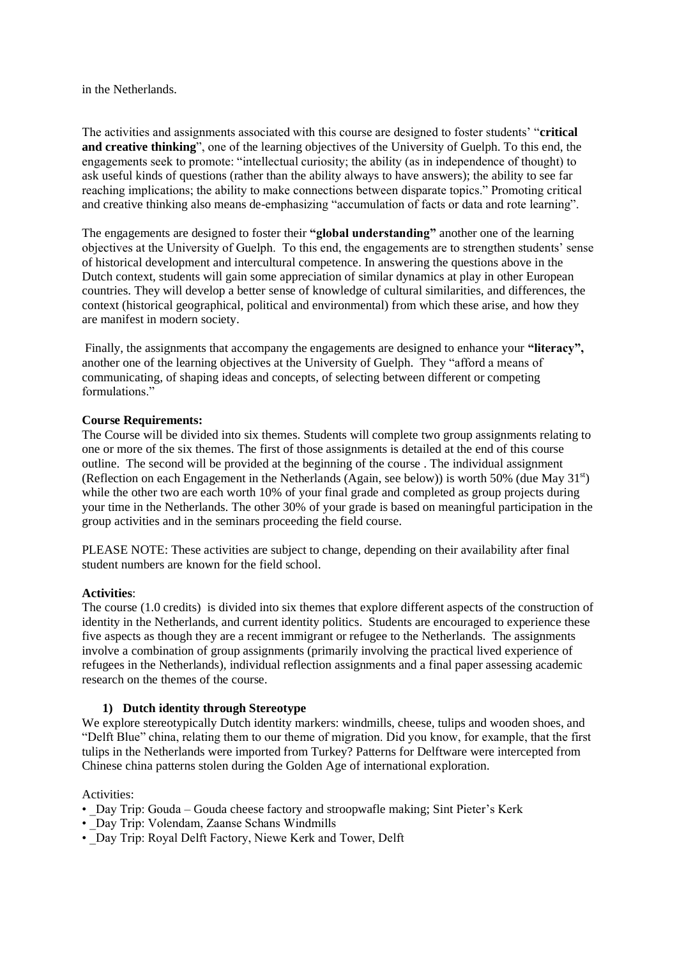in the Netherlands.

The activities and assignments associated with this course are designed to foster students' "**critical and creative thinking**", one of the learning objectives of the University of Guelph. To this end, the engagements seek to promote: "intellectual curiosity; the ability (as in independence of thought) to ask useful kinds of questions (rather than the ability always to have answers); the ability to see far reaching implications; the ability to make connections between disparate topics." Promoting critical and creative thinking also means de-emphasizing "accumulation of facts or data and rote learning".

The engagements are designed to foster their **"global understanding"** another one of the learning objectives at the University of Guelph. To this end, the engagements are to strengthen students' sense of historical development and intercultural competence. In answering the questions above in the Dutch context, students will gain some appreciation of similar dynamics at play in other European countries. They will develop a better sense of knowledge of cultural similarities, and differences, the context (historical geographical, political and environmental) from which these arise, and how they are manifest in modern society.

Finally, the assignments that accompany the engagements are designed to enhance your **"literacy",** another one of the learning objectives at the University of Guelph. They "afford a means of communicating, of shaping ideas and concepts, of selecting between different or competing formulations."

# **Course Requirements:**

The Course will be divided into six themes. Students will complete two group assignments relating to one or more of the six themes. The first of those assignments is detailed at the end of this course outline. The second will be provided at the beginning of the course . The individual assignment (Reflection on each Engagement in the Netherlands (Again, see below)) is worth 50% (due May 31st) while the other two are each worth 10% of your final grade and completed as group projects during your time in the Netherlands. The other 30% of your grade is based on meaningful participation in the group activities and in the seminars proceeding the field course.

PLEASE NOTE: These activities are subject to change, depending on their availability after final student numbers are known for the field school.

#### **Activities**:

The course (1.0 credits) is divided into six themes that explore different aspects of the construction of identity in the Netherlands, and current identity politics. Students are encouraged to experience these five aspects as though they are a recent immigrant or refugee to the Netherlands. The assignments involve a combination of group assignments (primarily involving the practical lived experience of refugees in the Netherlands), individual reflection assignments and a final paper assessing academic research on the themes of the course.

# **1) Dutch identity through Stereotype**

We explore stereotypically Dutch identity markers: windmills, cheese, tulips and wooden shoes, and "Delft Blue" china, relating them to our theme of migration. Did you know, for example, that the first tulips in the Netherlands were imported from Turkey? Patterns for Delftware were intercepted from Chinese china patterns stolen during the Golden Age of international exploration.

#### Activities:

- Day Trip: Gouda Gouda cheese factory and stroopwafle making; Sint Pieter's Kerk
- Day Trip: Volendam, Zaanse Schans Windmills
- Day Trip: Royal Delft Factory, Niewe Kerk and Tower, Delft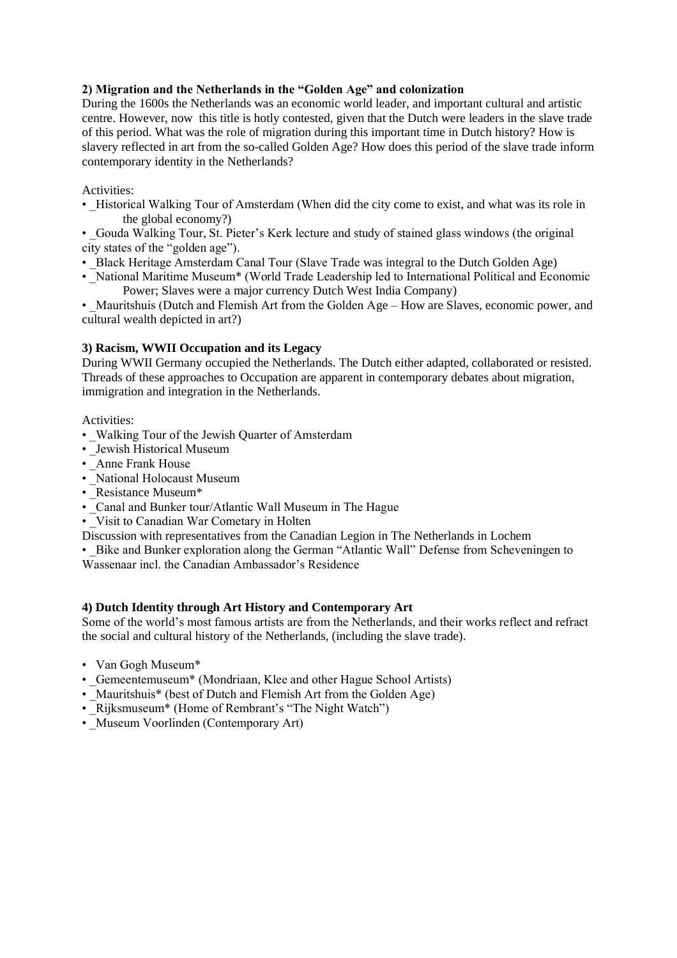# **2) Migration and the Netherlands in the "Golden Age" and colonization**

During the 1600s the Netherlands was an economic world leader, and important cultural and artistic centre. However, now this title is hotly contested, given that the Dutch were leaders in the slave trade of this period. What was the role of migration during this important time in Dutch history? How is slavery reflected in art from the so-called Golden Age? How does this period of the slave trade inform contemporary identity in the Netherlands?

# Activities:

• Historical Walking Tour of Amsterdam (When did the city come to exist, and what was its role in the global economy?)

• Gouda Walking Tour, St. Pieter's Kerk lecture and study of stained glass windows (the original city states of the "golden age").

- Black Heritage Amsterdam Canal Tour (Slave Trade was integral to the Dutch Golden Age)
- National Maritime Museum\* (World Trade Leadership led to International Political and Economic Power; Slaves were a major currency Dutch West India Company)

• Mauritshuis (Dutch and Flemish Art from the Golden Age – How are Slaves, economic power, and cultural wealth depicted in art?)

# **3) Racism, WWII Occupation and its Legacy**

During WWII Germany occupied the Netherlands. The Dutch either adapted, collaborated or resisted. Threads of these approaches to Occupation are apparent in contemporary debates about migration, immigration and integration in the Netherlands.

Activities:

- Walking Tour of the Jewish Quarter of Amsterdam
- Jewish Historical Museum
- Anne Frank House
- National Holocaust Museum
- Resistance Museum\*
- Canal and Bunker tour/Atlantic Wall Museum in The Hague
- Visit to Canadian War Cometary in Holten
- Discussion with representatives from the Canadian Legion in The Netherlands in Lochem
- Bike and Bunker exploration along the German "Atlantic Wall" Defense from Scheveningen to

Wassenaar incl. the Canadian Ambassador's Residence

# **4) Dutch Identity through Art History and Contemporary Art**

Some of the world's most famous artists are from the Netherlands, and their works reflect and refract the social and cultural history of the Netherlands, (including the slave trade).

- Van Gogh Museum\*
- Gemeentemuseum<sup>\*</sup> (Mondriaan, Klee and other Hague School Artists)
- Mauritshuis<sup>\*</sup> (best of Dutch and Flemish Art from the Golden Age)
- Rijksmuseum<sup>\*</sup> (Home of Rembrant's "The Night Watch")
- Museum Voorlinden (Contemporary Art)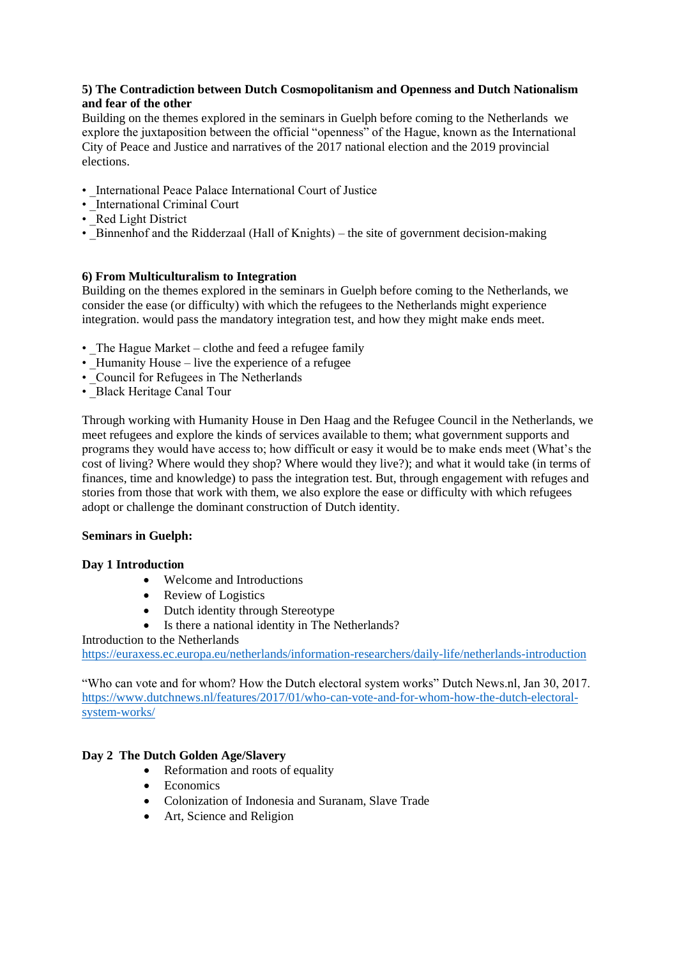# **5) The Contradiction between Dutch Cosmopolitanism and Openness and Dutch Nationalism and fear of the other**

Building on the themes explored in the seminars in Guelph before coming to the Netherlands we explore the juxtaposition between the official "openness" of the Hague, known as the International City of Peace and Justice and narratives of the 2017 national election and the 2019 provincial elections.

- International Peace Palace International Court of Justice
- \_International Criminal Court
- Red Light District
- Binnenhof and the Ridderzaal (Hall of Knights) the site of government decision-making

# **6) From Multiculturalism to Integration**

Building on the themes explored in the seminars in Guelph before coming to the Netherlands, we consider the ease (or difficulty) with which the refugees to the Netherlands might experience integration. would pass the mandatory integration test, and how they might make ends meet.

- The Hague Market clothe and feed a refugee family
- Humanity House live the experience of a refugee
- Council for Refugees in The Netherlands
- Black Heritage Canal Tour

Through working with Humanity House in Den Haag and the Refugee Council in the Netherlands, we meet refugees and explore the kinds of services available to them; what government supports and programs they would have access to; how difficult or easy it would be to make ends meet (What's the cost of living? Where would they shop? Where would they live?); and what it would take (in terms of finances, time and knowledge) to pass the integration test. But, through engagement with refuges and stories from those that work with them, we also explore the ease or difficulty with which refugees adopt or challenge the dominant construction of Dutch identity.

# **Seminars in Guelph:**

# **Day 1 Introduction**

- Welcome and Introductions
- Review of Logistics
- Dutch identity through Stereotype
- Is there a national identity in The Netherlands?

# Introduction to the Netherlands

<https://euraxess.ec.europa.eu/netherlands/information-researchers/daily-life/netherlands-introduction>

"Who can vote and for whom? How the Dutch electoral system works" Dutch News.nl, Jan 30, 2017. [https://www.dutchnews.nl/features/2017/01/who-can-vote-and-for-whom-how-the-dutch-electoral](https://www.dutchnews.nl/features/2017/01/who-can-vote-and-for-whom-how-the-dutch-electoral-system-works/)[system-works/](https://www.dutchnews.nl/features/2017/01/who-can-vote-and-for-whom-how-the-dutch-electoral-system-works/)

# **Day 2 The Dutch Golden Age/Slavery**

- Reformation and roots of equality
- Economics
- Colonization of Indonesia and Suranam, Slave Trade
- Art, Science and Religion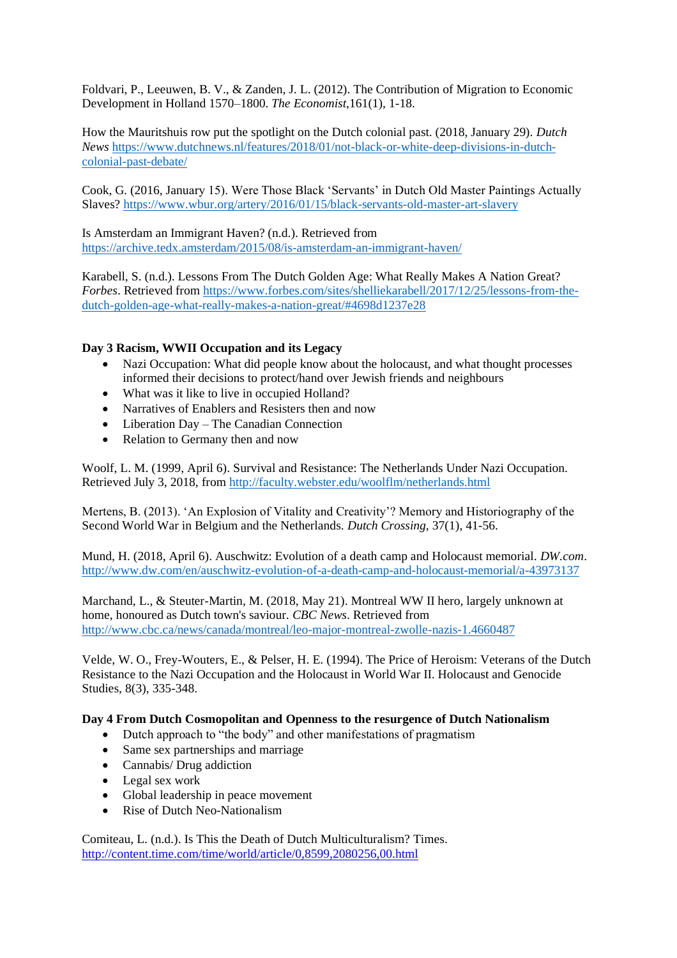Foldvari, P., Leeuwen, B. V., & Zanden, J. L. (2012). The Contribution of Migration to Economic Development in Holland 1570–1800. *The Economist*,161(1), 1-18.

How the Mauritshuis row put the spotlight on the Dutch colonial past. (2018, January 29). *Dutch News* [https://www.dutchnews.nl/features/2018/01/not-black-or-white-deep-divisions-in-dutch](https://www.dutchnews.nl/features/2018/01/not-black-or-white-deep-divisions-in-dutch-colonial-past-debate/)[colonial-past-debate/](https://www.dutchnews.nl/features/2018/01/not-black-or-white-deep-divisions-in-dutch-colonial-past-debate/)

Cook, G. (2016, January 15). Were Those Black 'Servants' in Dutch Old Master Paintings Actually Slaves?<https://www.wbur.org/artery/2016/01/15/black-servants-old-master-art-slavery>

Is Amsterdam an Immigrant Haven? (n.d.). Retrieved from <https://archive.tedx.amsterdam/2015/08/is-amsterdam-an-immigrant-haven/>

Karabell, S. (n.d.). Lessons From The Dutch Golden Age: What Really Makes A Nation Great? *Forbes*. Retrieved from [https://www.forbes.com/sites/shelliekarabell/2017/12/25/lessons-from-the](https://www.forbes.com/sites/shelliekarabell/2017/12/25/lessons-from-the-dutch-golden-age-what-really-makes-a-nation-great/#4698d1237e28)[dutch-golden-age-what-really-makes-a-nation-great/#4698d1237e28](https://www.forbes.com/sites/shelliekarabell/2017/12/25/lessons-from-the-dutch-golden-age-what-really-makes-a-nation-great/#4698d1237e28)

# **Day 3 Racism, WWII Occupation and its Legacy**

- Nazi Occupation: What did people know about the holocaust, and what thought processes informed their decisions to protect/hand over Jewish friends and neighbours
- What was it like to live in occupied Holland?
- Narratives of Enablers and Resisters then and now
- Liberation Day The Canadian Connection
- Relation to Germany then and now

Woolf, L. M. (1999, April 6). Survival and Resistance: The Netherlands Under Nazi Occupation. Retrieved July 3, 2018, from<http://faculty.webster.edu/woolflm/netherlands.html>

Mertens, B. (2013). 'An Explosion of Vitality and Creativity'? Memory and Historiography of the Second World War in Belgium and the Netherlands. *Dutch Crossing*, 37(1), 41-56.

Mund, H. (2018, April 6). Auschwitz: Evolution of a death camp and Holocaust memorial. *DW.com*. <http://www.dw.com/en/auschwitz-evolution-of-a-death-camp-and-holocaust-memorial/a-43973137>

Marchand, L., & Steuter-Martin, M. (2018, May 21). Montreal WW II hero, largely unknown at home, honoured as Dutch town's saviour. *CBC News*. Retrieved from <http://www.cbc.ca/news/canada/montreal/leo-major-montreal-zwolle-nazis-1.4660487>

Velde, W. O., Frey-Wouters, E., & Pelser, H. E. (1994). The Price of Heroism: Veterans of the Dutch Resistance to the Nazi Occupation and the Holocaust in World War II. Holocaust and Genocide Studies, 8(3), 335-348.

# **Day 4 From Dutch Cosmopolitan and Openness to the resurgence of Dutch Nationalism**

- Dutch approach to "the body" and other manifestations of pragmatism
- Same sex partnerships and marriage
- Cannabis/ Drug addiction
- Legal sex work
- Global leadership in peace movement
- Rise of Dutch Neo-Nationalism

Comiteau, L. (n.d.). Is This the Death of Dutch Multiculturalism? Times. <http://content.time.com/time/world/article/0,8599,2080256,00.html>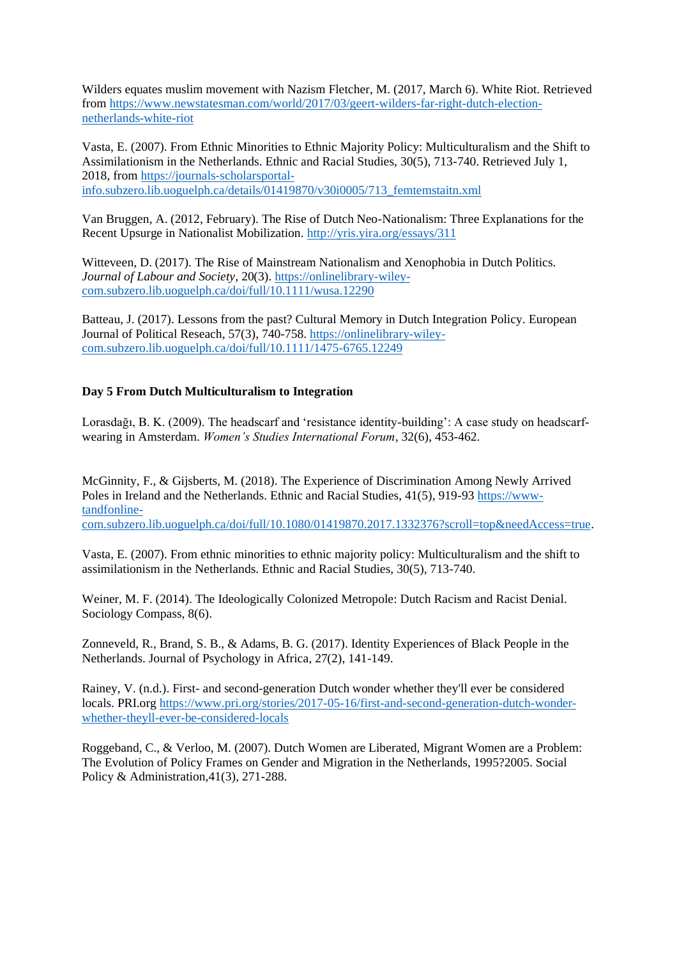Wilders equates muslim movement with Nazism Fletcher, M. (2017, March 6). White Riot. Retrieved from [https://www.newstatesman.com/world/2017/03/geert-wilders-far-right-dutch-election](https://www.newstatesman.com/world/2017/03/geert-wilders-far-right-dutch-election-netherlands-white-riot)[netherlands-white-riot](https://www.newstatesman.com/world/2017/03/geert-wilders-far-right-dutch-election-netherlands-white-riot)

Vasta, E. (2007). From Ethnic Minorities to Ethnic Majority Policy: Multiculturalism and the Shift to Assimilationism in the Netherlands. Ethnic and Racial Studies, 30(5), 713-740. Retrieved July 1, 2018, fro[m https://journals-scholarsportal](https://journals-scholarsportal-info.subzero.lib.uoguelph.ca/details/01419870/v30i0005/713_femtemstaitn.xml)[info.subzero.lib.uoguelph.ca/details/01419870/v30i0005/713\\_femtemstaitn.xml](https://journals-scholarsportal-info.subzero.lib.uoguelph.ca/details/01419870/v30i0005/713_femtemstaitn.xml)

Van Bruggen, A. (2012, February). The Rise of Dutch Neo-Nationalism: Three Explanations for the Recent Upsurge in Nationalist Mobilization.<http://yris.yira.org/essays/311>

Witteveen, D. (2017). The Rise of Mainstream Nationalism and Xenophobia in Dutch Politics. *Journal of Labour and Society,* 20(3). [https://onlinelibrary-wiley](https://onlinelibrary-wiley-com.subzero.lib.uoguelph.ca/doi/full/10.1111/wusa.12290)[com.subzero.lib.uoguelph.ca/doi/full/10.1111/wusa.12290](https://onlinelibrary-wiley-com.subzero.lib.uoguelph.ca/doi/full/10.1111/wusa.12290)

Batteau, J. (2017). Lessons from the past? Cultural Memory in Dutch Integration Policy. European Journal of Political Reseach, 57(3), 740-758. [https://onlinelibrary-wiley](https://onlinelibrary-wiley-com.subzero.lib.uoguelph.ca/doi/full/10.1111/1475-6765.12249)[com.subzero.lib.uoguelph.ca/doi/full/10.1111/1475-6765.12249](https://onlinelibrary-wiley-com.subzero.lib.uoguelph.ca/doi/full/10.1111/1475-6765.12249)

# **Day 5 From Dutch Multiculturalism to Integration**

Lorasdağı, B. K. (2009). The headscarf and 'resistance identity-building': A case study on headscarfwearing in Amsterdam. *Women's Studies International Forum*, 32(6), 453-462.

McGinnity, F., & Gijsberts, M. (2018). The Experience of Discrimination Among Newly Arrived Poles in Ireland and the Netherlands. Ethnic and Racial Studies, 41(5), 919-93 [https://www](https://www-tandfonline-com.subzero.lib.uoguelph.ca/doi/full/10.1080/01419870.2017.1332376?scroll=top&needAccess=true)[tandfonline](https://www-tandfonline-com.subzero.lib.uoguelph.ca/doi/full/10.1080/01419870.2017.1332376?scroll=top&needAccess=true)[com.subzero.lib.uoguelph.ca/doi/full/10.1080/01419870.2017.1332376?scroll=top&needAccess=true.](https://www-tandfonline-com.subzero.lib.uoguelph.ca/doi/full/10.1080/01419870.2017.1332376?scroll=top&needAccess=true)

Vasta, E. (2007). From ethnic minorities to ethnic majority policy: Multiculturalism and the shift to assimilationism in the Netherlands. Ethnic and Racial Studies, 30(5), 713-740.

Weiner, M. F. (2014). The Ideologically Colonized Metropole: Dutch Racism and Racist Denial. Sociology Compass, 8(6).

Zonneveld, R., Brand, S. B., & Adams, B. G. (2017). Identity Experiences of Black People in the Netherlands. Journal of Psychology in Africa, 27(2), 141-149.

Rainey, V. (n.d.). First- and second-generation Dutch wonder whether they'll ever be considered locals. PRI.org [https://www.pri.org/stories/2017-05-16/first-and-second-generation-dutch-wonder](https://www.pri.org/stories/2017-05-16/first-and-second-generation-dutch-wonder-whether-theyll-ever-be-considered-locals)[whether-theyll-ever-be-considered-locals](https://www.pri.org/stories/2017-05-16/first-and-second-generation-dutch-wonder-whether-theyll-ever-be-considered-locals)

Roggeband, C., & Verloo, M. (2007). Dutch Women are Liberated, Migrant Women are a Problem: The Evolution of Policy Frames on Gender and Migration in the Netherlands, 1995?2005. Social Policy & Administration, 41(3), 271-288.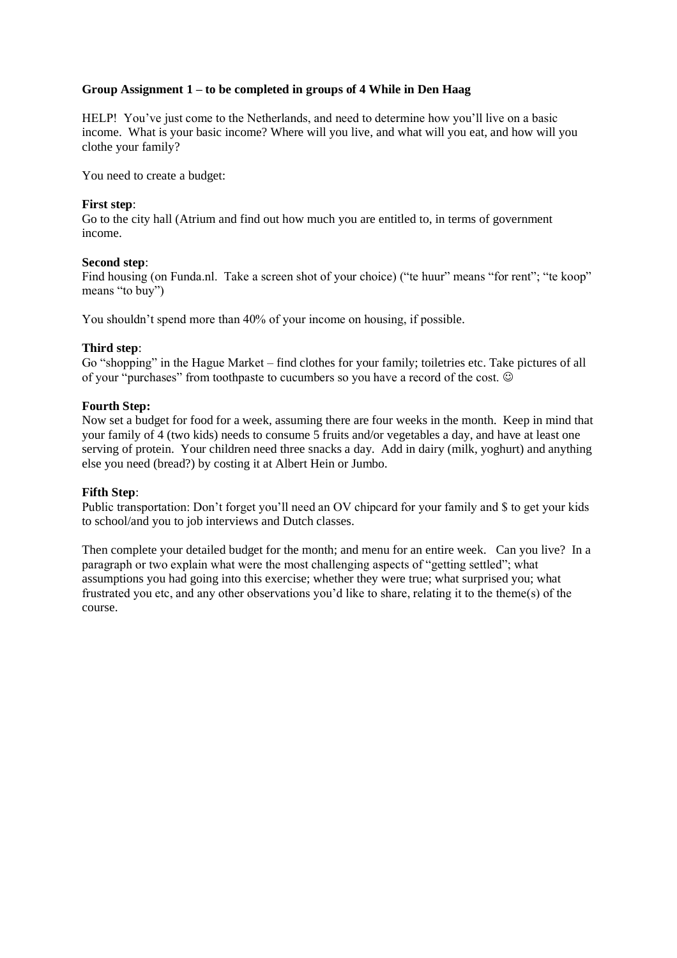# **Group Assignment 1 – to be completed in groups of 4 While in Den Haag**

HELP! You've just come to the Netherlands, and need to determine how you'll live on a basic income. What is your basic income? Where will you live, and what will you eat, and how will you clothe your family?

You need to create a budget:

#### **First step**:

Go to the city hall (Atrium and find out how much you are entitled to, in terms of government income.

#### **Second step**:

Find housing (on Funda.nl. Take a screen shot of your choice) ("te huur" means "for rent"; "te koop" means "to buy")

You shouldn't spend more than 40% of your income on housing, if possible.

#### **Third step**:

Go "shopping" in the Hague Market – find clothes for your family; toiletries etc. Take pictures of all of your "purchases" from toothpaste to cucumbers so you have a record of the cost.  $\odot$ 

#### **Fourth Step:**

Now set a budget for food for a week, assuming there are four weeks in the month. Keep in mind that your family of 4 (two kids) needs to consume 5 fruits and/or vegetables a day, and have at least one serving of protein. Your children need three snacks a day. Add in dairy (milk, yoghurt) and anything else you need (bread?) by costing it at Albert Hein or Jumbo.

# **Fifth Step**:

Public transportation: Don't forget you'll need an OV chipcard for your family and \$ to get your kids to school/and you to job interviews and Dutch classes.

Then complete your detailed budget for the month; and menu for an entire week. Can you live? In a paragraph or two explain what were the most challenging aspects of "getting settled"; what assumptions you had going into this exercise; whether they were true; what surprised you; what frustrated you etc, and any other observations you'd like to share, relating it to the theme(s) of the course.